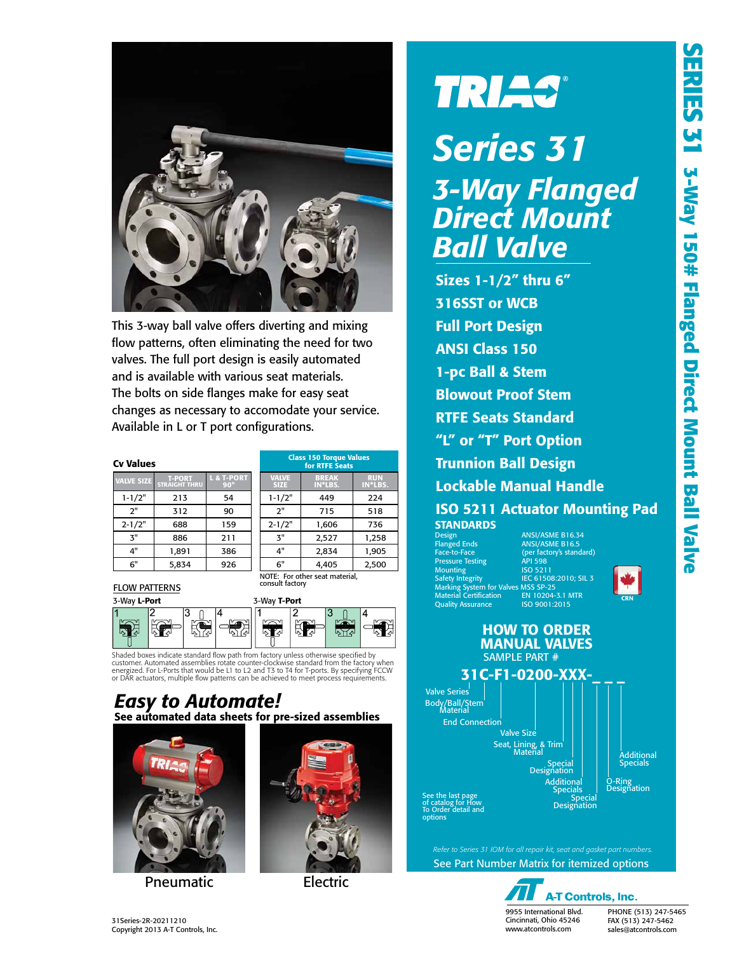

This 3-way ball valve offers diverting and mixing flow patterns, often eliminating the need for two valves. The full port design is easily automated and is available with various seat materials. The bolts on side flanges make for easy seat changes as necessary to accomodate your service. Available in L or T port configurations.

#### **Cv Values**

| <b>VALVE SIZE</b> | <b>T-PORT</b><br><b>STRAIGHT THRU</b> | L & T-PORT<br>$90^\circ$ |  |  |
|-------------------|---------------------------------------|--------------------------|--|--|
| $1 - 1/2"$        | 213                                   | 54                       |  |  |
| 2"                | 312                                   | 90                       |  |  |
| $2 - 1/2"$        | 688                                   | 159                      |  |  |
| ጞ"                | 886                                   | 211                      |  |  |
| 4"                | 1.891                                 | 386                      |  |  |
| 6"                | 5,834                                 | 926                      |  |  |

| <b>Class 150 Torque Values</b><br>for RTFE Seats |                                                         |       |  |  |  |  |  |  |
|--------------------------------------------------|---------------------------------------------------------|-------|--|--|--|--|--|--|
| <b>VALVE</b><br><b>SIZE</b>                      | <b>RUN</b><br><b>BREAK</b><br>IN*LBS.<br><b>IN*LBS.</b> |       |  |  |  |  |  |  |
| $1 - 1/2"$                                       | 449                                                     | 224   |  |  |  |  |  |  |
| 2"                                               | 715                                                     | 518   |  |  |  |  |  |  |
| $2 - 1/2"$                                       | 1,606                                                   | 736   |  |  |  |  |  |  |
| 3"                                               | 2,527                                                   | 1,258 |  |  |  |  |  |  |
| 4"                                               | 2.834                                                   | 1,905 |  |  |  |  |  |  |
| 6"                                               | 4.405                                                   | 2,500 |  |  |  |  |  |  |
| consult factory                                  | NOTE: For other seat material.                          |       |  |  |  |  |  |  |

#### FLOW PATTERNS



Shaded boxes indicate standard flow path from factory unless otherwise specified by<br>customer. Automated assemblies rotate counter-clockwise standard from the factory when<br>energized. For L-Ports that would be L1 to L2 and T or DAR actuators, multiple flow patterns can be achieved to meet process requirements.

#### See automated data sheets for pre-sized assemblies *Easy to Automate!*



Pneumatic Electric



# **TRIAS®**

# *Series 31 3-Way Flanged Direct Mount Ball Valve*

Sizes 1-1/2" thru 6" 316SST or WCB Full Port Design ANSI Class 150 1-pc Ball & Stem Blowout Proof Stem RTFE Seats Standard "L" or "T" Port Option Trunnion Ball Design Lockable Manual Handle ISO 5211 Actuator Mounting Pad **STANDARDS** Design ANSI/ASME B16.34

Pressure Testing The API 598 Mounting<br>Safety Integrity ELOW PATTERNS<br>3-Way L-Port 3-Way T-Port 3-Way Text of the Certification EN 10204-3.1 MTR<br>3-Way L-Port 3-Way T-Port 3-Way T-Port CRN 2014-31 MTR 2014-2015 Quality Assurance ISO 9001:2015

options

Flanged Ends ANSI/ASME B16.5 (per factory's standard)<br>API 598<br>ISO 5211 IEC 61508:2010; SIL 3







See Part Number Matrix for itemized options *Refer to Series 31 IOM for all repair kit, seat and gasket part numbers.*



PHONE (513) 247-5465 FAX (513) 247-5462 sales@atcontrols.com

31Series-2R-20211210 Copyright 2013 A-T Controls, Inc.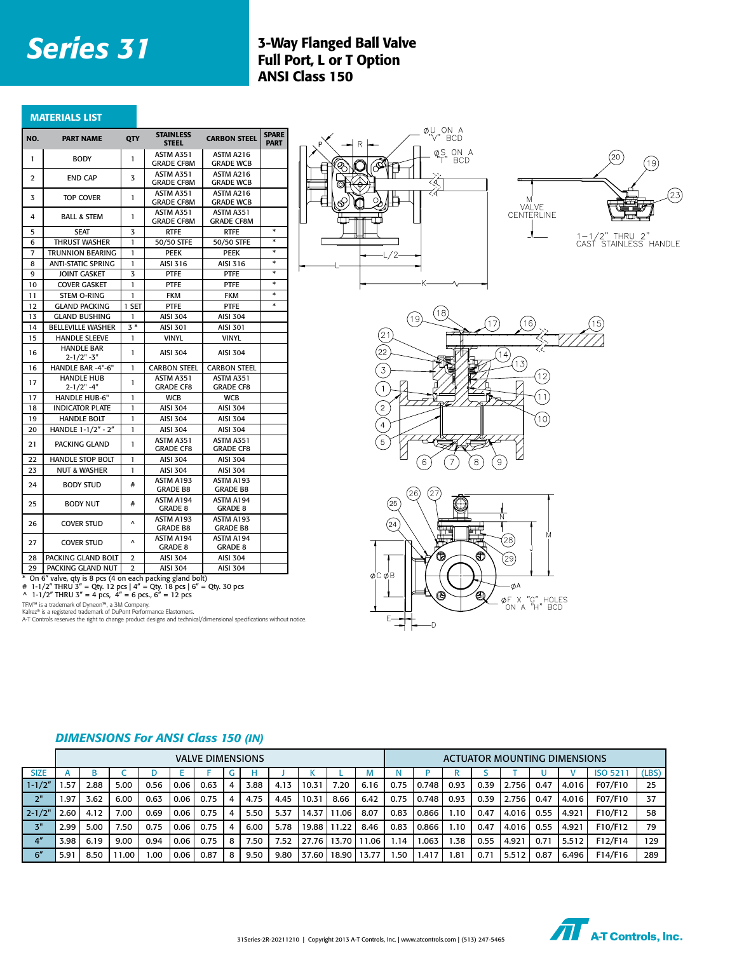#### **Series 31** 3-Way Flanged Ball Valve Full Port, L or T Option ANSI Class 150

| <b>MATERIALS LIST</b> |  |
|-----------------------|--|
|                       |  |
|                       |  |

| NO.            | <b>PART NAME</b>                                         | QTY            | <b>STAINLESS</b><br><b>STEEL</b>      | <b>CARBON STEEL</b>                   | <b>SPARE</b><br><b>PART</b> |
|----------------|----------------------------------------------------------|----------------|---------------------------------------|---------------------------------------|-----------------------------|
| 1              | <b>BODY</b>                                              | 1              | ASTM A351<br><b>GRADE CF8M</b>        | ASTM A216<br><b>GRADE WCB</b>         |                             |
| $\overline{2}$ | <b>END CAP</b>                                           | 3              | <b>ASTM A351</b><br><b>GRADE CF8M</b> | ASTM A216<br><b>GRADE WCB</b>         |                             |
| 3              | <b>TOP COVER</b>                                         | 1              | ASTM A351<br><b>GRADE CF8M</b>        | ASTM A216<br><b>GRADE WCB</b>         |                             |
| 4              | <b>BALL &amp; STEM</b>                                   | 1              | <b>ASTM A351</b><br><b>GRADE CF8M</b> | <b>ASTM A351</b><br><b>GRADE CF8M</b> |                             |
| 5              | <b>SEAT</b>                                              | 3              | <b>RTFE</b>                           | RTFE                                  | $\ast$                      |
| 6              | <b>THRUST WASHER</b>                                     | 1              | 50/50 STFE                            | 50/50 STFE                            | *                           |
| 7              | <b>TRUNNION BEARING</b>                                  | 1              | <b>PEEK</b>                           | <b>PEEK</b>                           | $\ast$                      |
| 8              | <b>ANTI-STATIC SPRING</b>                                | 1              | AISI 316                              | AISI 316                              | $\ast$                      |
| 9              | <b>JOINT GASKET</b>                                      | 3              | PTFE                                  | <b>PTFE</b>                           | $\ast$                      |
| 10             | <b>COVER GASKET</b>                                      | $\mathbf{I}$   | PTFE                                  | PTFE                                  | *                           |
| 11             | STEM O-RING                                              | 1              | <b>FKM</b>                            | <b>FKM</b>                            | *                           |
| 12             | <b>GLAND PACKING</b>                                     | 1 SET          | PTFE                                  | <b>PTFE</b>                           | *                           |
| 13             | <b>GLAND BUSHING</b>                                     | 1              | <b>AISI 304</b>                       | <b>AISI 304</b>                       |                             |
| 14             | <b>BELLEVILLE WASHER</b>                                 | $3*$           | AISI 301                              | <b>AISI 301</b>                       |                             |
| 15             | <b>HANDLE SLEEVE</b>                                     | 1              | <b>VINYL</b>                          | <b>VINYL</b>                          |                             |
| 16             | <b>HANDLE BAR</b><br>$2 - 1/2" - 3"$                     | 1              | <b>AISI 304</b>                       | <b>AISI 304</b>                       |                             |
| 16             | HANDLE BAR -4"-6"                                        | 1              | <b>CARBON STEEL</b>                   | <b>CARBON STEEL</b>                   |                             |
| 17             | <b>HANDLE HUB</b><br>$2 - 1/2" - 4"$                     | 1              | ASTM A351<br><b>GRADE CF8</b>         | <b>ASTM A351</b><br><b>GRADE CF8</b>  |                             |
| 17             | HANDLE HUB-6"                                            | 1              | <b>WCB</b>                            | <b>WCB</b>                            |                             |
| 18             | <b>INDICATOR PLATE</b>                                   | 1              | <b>AISI 304</b>                       | AISI 304                              |                             |
| 19             | <b>HANDLE BOLT</b>                                       | 1              | <b>AISI 304</b>                       | <b>AISI 304</b>                       |                             |
| 20             | HANDLE 1-1/2" - 2"                                       | 1              | <b>AISI 304</b>                       | <b>AISI 304</b>                       |                             |
| 21             | PACKING GLAND                                            | 1              | ASTM A351<br><b>GRADE CF8</b>         | ASTM A351<br><b>GRADE CF8</b>         |                             |
| 22             | <b>HANDLE STOP BOLT</b>                                  | 1              | <b>AISI 304</b>                       | AISI 304                              |                             |
| 23             | NUT & WASHER                                             | 1              | <b>AISI 304</b>                       | <b>AISI 304</b>                       |                             |
| 24             | <b>BODY STUD</b>                                         | #              | ASTM A193<br><b>GRADE B8</b>          | ASTM A193<br><b>GRADE B8</b>          |                             |
| 25             | <b>BODY NUT</b>                                          | #              | ASTM A194<br>GRADE 8                  | ASTM A194<br><b>GRADE 8</b>           |                             |
| 26             | <b>COVER STUD</b>                                        | Λ              | ASTM A193<br><b>GRADE B8</b>          | ASTM A193<br><b>GRADE B8</b>          |                             |
| 27             | <b>COVER STUD</b>                                        | Λ              | ASTM A194<br>GRADE 8                  | ASTM A194<br>GRADE 8                  |                             |
| 28             | PACKING GLAND BOLT                                       | $\overline{2}$ | AISI 304                              | <b>AISI 304</b>                       |                             |
| 29             | PACKING GLAND NUT                                        | $\overline{2}$ | <b>AISI 304</b>                       | <b>AISI 304</b>                       |                             |
|                | On 6" valve, gty is 8 pcs (4 on each packing gland bolt) |                |                                       |                                       |                             |

\* On 6" valve, qty is 8 pcs (4 on each packing gland bolt)<br># 1-1/2" THRU 3" = Qty. 12 pcs | 4" = Qty. 18 pcs | 6" = Qty. 30 pcs<br>^ 1-1/2" THRU 3" = 4 pcs, 4" = 6 pcs., 6" = 12 pcs

TFM™ is a trademark of Dyneon™, a 3M Company.<br>Kalrez® is a registered trademark of DuPont Performance Elastomers.<br>A-T Controls reserves the right to change product designs and technical/dimensional specifications without n









|                 | <b>VALVE DIMENSIONS</b> |      |                   |      |      |      |   |      |      |       |       |       |      | <b>ACTUATOR MOUNTING DIMENSIONS</b> |      |      |       |      |       |                |       |
|-----------------|-------------------------|------|-------------------|------|------|------|---|------|------|-------|-------|-------|------|-------------------------------------|------|------|-------|------|-------|----------------|-------|
| <b>SIZE</b>     |                         |      |                   |      |      |      |   |      |      |       |       | M     |      |                                     | R    |      |       |      |       | <b>ISO 521</b> | (LBS) |
| $1 - 1/2"$      | .57                     | 2.88 | 5.00              | 0.56 | 0.06 | 0.63 | 4 | 3.88 | 4.13 | 10.31 | 7.20  | 6.16  | 0.75 | 0.748                               | 0.93 | 0.39 | 2.756 | 0.47 | 4.016 | F07/F10        | 25    |
| 2"              | .97                     | 3.62 | 6.00              | 0.63 | 0.06 | 0.75 | 4 | 4.75 | 4.45 | 10.31 | 8.66  | 6.42  | 0.75 | 0.748                               | 0.93 | 0.39 | 2.756 | 0.47 | 4.016 | F07/F10        | 37    |
| $2 - 1/2$       | 2.60                    | 4.12 | 7.00              | 0.69 | 0.06 | 0.75 | 4 | 5.50 | 5.37 | 14.37 | 11.06 | 8.07  | 0.83 | 0.866                               | 1.10 | 0.47 | 4.016 | 0.55 | 4.921 | F10/F12        | 58    |
| 3"              | 2.99                    | 5.00 | 7.50              | 0.75 | 0.06 | 0.75 | 4 | 6.00 | 5.78 | 19.88 | 11.22 | 8.46  | 0.83 | 0.866                               | 1.10 | 0.47 | 4.016 | 0.55 | 4.921 | F10/F12        | 79    |
| 4 <sup>''</sup> | 3.98                    | 6.19 | 9.00              | 0.94 | 0.06 | 0.75 | 8 | 7.50 | 7.52 | 27.76 | 13.70 | 11.06 | 1.14 | .063                                | .38  | 0.55 | 4.921 | 0.71 | 5.512 | F12/F14        | 129   |
| 6''             | $5.9^{\circ}$           | 8.50 | 1.00 <sub>1</sub> | .00  | 0.06 | 0.87 | 8 | 9.50 | 9.80 | 37.60 | 18.90 | 13.77 | .50  | 1.417                               | 1.81 | 0.71 | 5.512 | 0.87 | 6.496 | F14/F16        | 289   |

#### *DIMENSIONS For ANSI Class 150 (IN)*

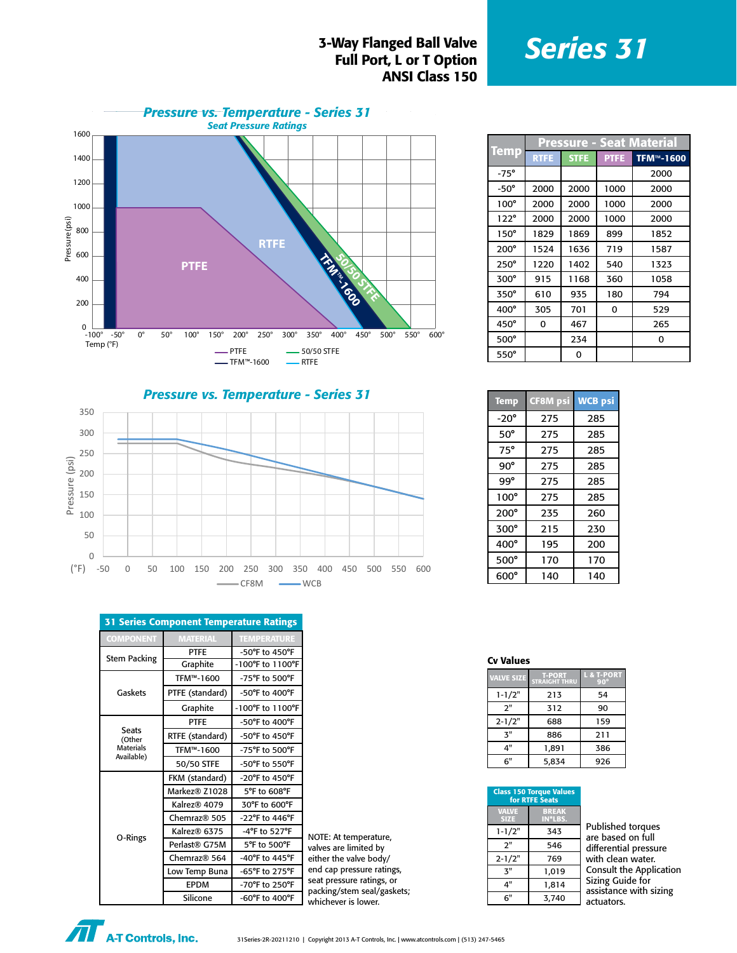#### **S-Way Flanged Ball Valve**<br>**Series 31** Full Port, L or T Option ANSI Class 150



|             | <b>Pressure - Seat Material</b> |             |             |                        |  |  |  |  |
|-------------|---------------------------------|-------------|-------------|------------------------|--|--|--|--|
| <b>Temp</b> | <b>RTFE</b>                     | <b>STFE</b> | <b>PTFE</b> | TFM <sup>™</sup> -1600 |  |  |  |  |
| $-75^\circ$ |                                 |             |             | 2000                   |  |  |  |  |
| $-50^\circ$ | 2000                            | 2000        | 1000        | 2000                   |  |  |  |  |
| $100^\circ$ | 2000                            | 2000        | 1000        | 2000                   |  |  |  |  |
| $122^\circ$ | 2000                            | 2000        | 1000        | 2000                   |  |  |  |  |
| $150^\circ$ | 1829                            | 1869        | 899         | 1852                   |  |  |  |  |
| $200^\circ$ | 1524                            | 1636        | 719         | 1587                   |  |  |  |  |
| $250^\circ$ | 1220                            | 1402        | 540         | 1323                   |  |  |  |  |
| 300°        | 915                             | 1168        | 360         | 1058                   |  |  |  |  |
| 350°        | 610                             | 935         | 180         | 794                    |  |  |  |  |
| 400°        | 305                             | 701         | 0           | 529                    |  |  |  |  |
| 450°        | 0                               | 467         |             | 265                    |  |  |  |  |
| $500^\circ$ |                                 | 234         |             | 0                      |  |  |  |  |
| $550^\circ$ |                                 | 0           |             |                        |  |  |  |  |

*Pressure vs. Temperature - Series 31*



| <b>31 Series Component Temperature Ratings</b> |                          |                                      |    |  |  |  |  |  |  |
|------------------------------------------------|--------------------------|--------------------------------------|----|--|--|--|--|--|--|
| <b>COMPONENT</b>                               | <b>MATERIAL</b>          | <b>TEMPERATURE</b>                   |    |  |  |  |  |  |  |
|                                                | <b>PTFE</b>              | -50°F to 450°F                       |    |  |  |  |  |  |  |
| <b>Stem Packing</b>                            | Graphite                 | -100°F to 1100°F                     |    |  |  |  |  |  |  |
|                                                | TFM™-1600                | -75°F to 500°F                       |    |  |  |  |  |  |  |
| Gaskets                                        | PTFE (standard)          | $-50^{\circ}$ F to $400^{\circ}$ F   |    |  |  |  |  |  |  |
|                                                | Graphite                 | $-100^{\circ}$ F to $1100^{\circ}$ F |    |  |  |  |  |  |  |
|                                                | <b>PTFE</b>              | -50°F to 400°F                       |    |  |  |  |  |  |  |
| <b>Seats</b><br>(Other                         | RTFE (standard)          | -50°F to 450°F                       |    |  |  |  |  |  |  |
| <b>Materials</b>                               | TFM™-1600                | -75°F to 500°F                       |    |  |  |  |  |  |  |
| Available)                                     | 50/50 STFE               | -50°F to 550°F                       |    |  |  |  |  |  |  |
|                                                | FKM (standard)           | $-20^{\circ}$ F to 450 $^{\circ}$ F  |    |  |  |  |  |  |  |
|                                                | Markez® Z1028            | 5°F to 608°F                         |    |  |  |  |  |  |  |
|                                                | Kalrez <sup>®</sup> 4079 | 30°F to 600°F                        |    |  |  |  |  |  |  |
|                                                | Chemraz <sup>®</sup> 505 | -22°F to 446°F                       |    |  |  |  |  |  |  |
|                                                | Kalrez® 6375             | -4°F to 527°F                        | N  |  |  |  |  |  |  |
| O-Rings                                        | Perlast® G75M            | 5°F to 500°F                         | V  |  |  |  |  |  |  |
|                                                | Chemraz <sup>®</sup> 564 | -40°F to 445°F                       | ei |  |  |  |  |  |  |
|                                                | Low Temp Buna            | -65°F to 275°F                       | e  |  |  |  |  |  |  |
|                                                | <b>EPDM</b>              | -70°F to 250°F                       | S6 |  |  |  |  |  |  |
|                                                | c:Bu                     | $COP_{t-1}$ $AOP_{t-1}$              | p. |  |  |  |  |  |  |

IOTE: At temperature, alves are limited by ither the valve body/ nd cap pressure ratings, eat pressure ratings, or acking/stem seal/gaskets; Silicone | -60°F to 400°F | whichever is lower.

| <b>Temp</b> | <b>CF8M</b> psi | <b>WCB psi</b> |
|-------------|-----------------|----------------|
| -20°        | 275             | 285            |
| 50°         | 275             | 285            |
| $75^\circ$  | 275             | 285            |
| 90°         | 275             | 285            |
| 99°         | 275             | 285            |
| $100^\circ$ | 275             | 285            |
| $200^\circ$ | 235             | 260            |
| 300°        | 215             | 230            |
| $400^\circ$ | 195             | 200            |
| $500^\circ$ | 170             | 170            |
| $600^\circ$ | 140             | 140            |

#### Cv Values

| <b>VALVE SIZE</b> | <b>T-PORT</b><br><b>STRAIGHT THRU</b> | L & T-PORT<br>$90^\circ$ |
|-------------------|---------------------------------------|--------------------------|
| $1 - 1/2"$        | 213                                   | 54                       |
| ን"                | 312                                   | 90                       |
| $2 - 1/2"$        | 688                                   | 159                      |
| $\mathbf{z}$ "    | 886                                   | 211                      |
| 4"                | 1,891                                 | 386                      |
| 6"                | 5,834                                 | 926                      |

| <b>Class 150 Torque Values</b><br>for RTFE Seats |                         |            |  |  |  |
|--------------------------------------------------|-------------------------|------------|--|--|--|
| <b>VALVE</b><br><b>SIZE</b>                      | <b>BREAK</b><br>IN*LBS. |            |  |  |  |
| $1 - 1/2"$                                       | 343                     | Pu<br>are  |  |  |  |
| 2"                                               | 546                     | dif        |  |  |  |
| $2 - 1/2"$                                       | 769                     | wit        |  |  |  |
| ጞ"                                               | 1.019                   | Co         |  |  |  |
| 4"                                               | 1,814                   | Siz<br>ass |  |  |  |
| 6"                                               | 3,740                   | act        |  |  |  |

**blished torques** based on full ferential pressure th clean water. msult the Application ing Guide for sistance with sizing tuators.

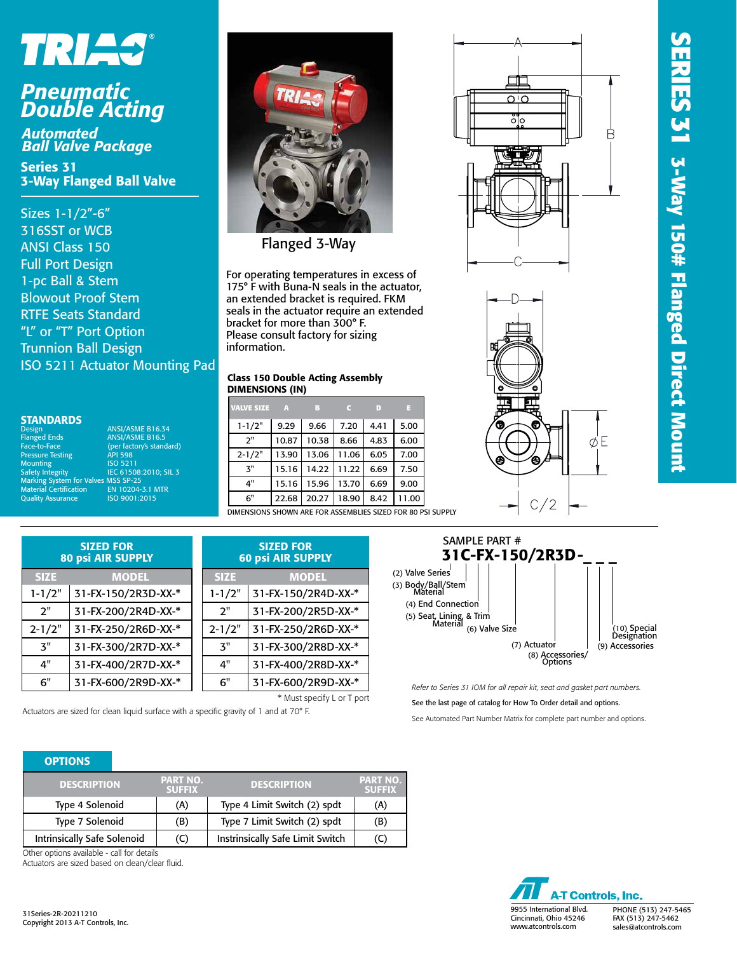# SERIES 31 3-Way 150# Flanged Direct Mount **SERIES 31 3-Way 150# Flanged Direct Mount**

Н

ØE

# TRIAS®

## *Pneumatic Double Acting*

*Automated Ball Valve Package*

Series 31 3-Way Flanged Ball Valve

Sizes 1-1/2"-6" 316SST or WCB ANSI Class 150 Full Port Design 1-pc Ball & Stem Blowout Proof Stem RTFE Seats Standard "L" or "T" Port Option Trunnion Ball Design ISO 5211 Actuator Mounting Pad

| <b>STANDARDS</b> |  |  |  |
|------------------|--|--|--|
|                  |  |  |  |
|                  |  |  |  |

Design ANSI/ASME B16.34<br>
Planged Ends ANSI/ASME B16.5 Flanged Ends ANSI/ASME B16.5 Face-to-Face (per factory's standard) Pressure Testing Testing API 598<br>Mounting 150 5211 Mounting<br>Safety Integrity IEC 61508:2010; SIL 3<br>SMSS SP-25<br>EN 10204-3.1 MTR Marking System for Valves MSS SP-25 Material Certification EN 10204-3.1 MTR Quality Assurance ISO 9001:2015



Flanged 3-Way

For operating temperatures in excess of 175° F with Buna-N seals in the actuator, an extended bracket is required. FKM seals in the actuator require an extended bracket for more than 300° F. Please consult factory for sizing information.

#### Class 150 Double Acting Assembly DIMENSIONS (IN)

| <b>VALVE SIZE</b>                                  | $\mathbf{A}$ | B     |       | D    | ы     |
|----------------------------------------------------|--------------|-------|-------|------|-------|
| $1 - 1/2"$                                         | 9.29         | 9.66  | 7.20  | 4.41 | 5.00  |
| 2"                                                 | 10.87        | 10.38 | 8.66  | 4.83 | 6.00  |
| $2 - 1/2"$                                         | 13.90        | 13.06 | 11.06 | 6.05 | 7.00  |
| $\mathbf{3}^{\mathrm{II}}$                         | 15.16        | 14.22 | 11.22 | 6.69 | 7.50  |
| 4"                                                 | 15.16        | 15.96 | 13.70 | 6.69 | 9.00  |
| 6"                                                 | 22.68        | 20.27 | 18.90 | 8.42 | 11.00 |
| DIMENSIONS SHOWN ARE FOR ACCEMBLIFS SIZED FOR 80 P |              |       |       |      |       |

BLIES SIZED FOR 80 PSI SUPPLY

| <b>SIZED FOR</b><br><b>80 psi AIR SUPPLY</b> |                     |  |             | <b>SIZED FOR</b><br><b>60 psi AIR SUPPLY</b> |
|----------------------------------------------|---------------------|--|-------------|----------------------------------------------|
| <b>SIZE</b>                                  | <b>MODEL</b>        |  | <b>SIZE</b> | <b>MODEL</b>                                 |
| $1 - 1/2"$                                   | 31-FX-150/2R3D-XX-* |  | $1 - 1/2"$  | 31-FX-150/2R4D-XX-*                          |
| 2"                                           | 31-FX-200/2R4D-XX-* |  | 2"          | 31-FX-200/2R5D-XX-*                          |
| $2 - 1/2"$                                   | 31-FX-250/2R6D-XX-* |  | $2 - 1/2"$  | 31-FX-250/2R6D-XX-*                          |
| 3"                                           | 31-FX-300/2R7D-XX-* |  | <b>3"</b>   | 31-FX-300/2R8D-XX-*                          |
| 4"                                           | 31-FX-400/2R7D-XX-* |  | 4"          | 31-FX-400/2R8D-XX-*                          |
| 6"                                           | 31-FX-600/2R9D-XX-* |  | 6"          | 31-FX-600/2R9D-XX-*                          |

\* Must specify L or T port Actuators are sized for clean liquid surface with a specific gravity of 1 and at 70° F.



С 2

מי מ  $\ddot{\circ}$ 

*Refer to Series 31 IOM for all repair kit, seat and gasket part numbers.*

See the last page of catalog for How To Order detail and options.

See Automated Part Number Matrix for complete part number and options.

#### **OPTIONS**

| <b>DESCRIPTION</b>          | <b>PART NO.</b><br><b>SUFFIX</b> | <b>DESCRIPTION</b>               | <b>PART NO.</b><br><b>SUFFIX</b> |
|-----------------------------|----------------------------------|----------------------------------|----------------------------------|
| Type 4 Solenoid             | (A)                              | Type 4 Limit Switch (2) spdt     | (A)                              |
| Type 7 Solenoid             | (B)                              | Type 7 Limit Switch (2) spdt     | (B)                              |
| Intrinsically Safe Solenoid | (C)                              | Instrinsically Safe Limit Switch | (C)                              |

Other options available - call for details

Actuators are sized based on clean/clear fluid.

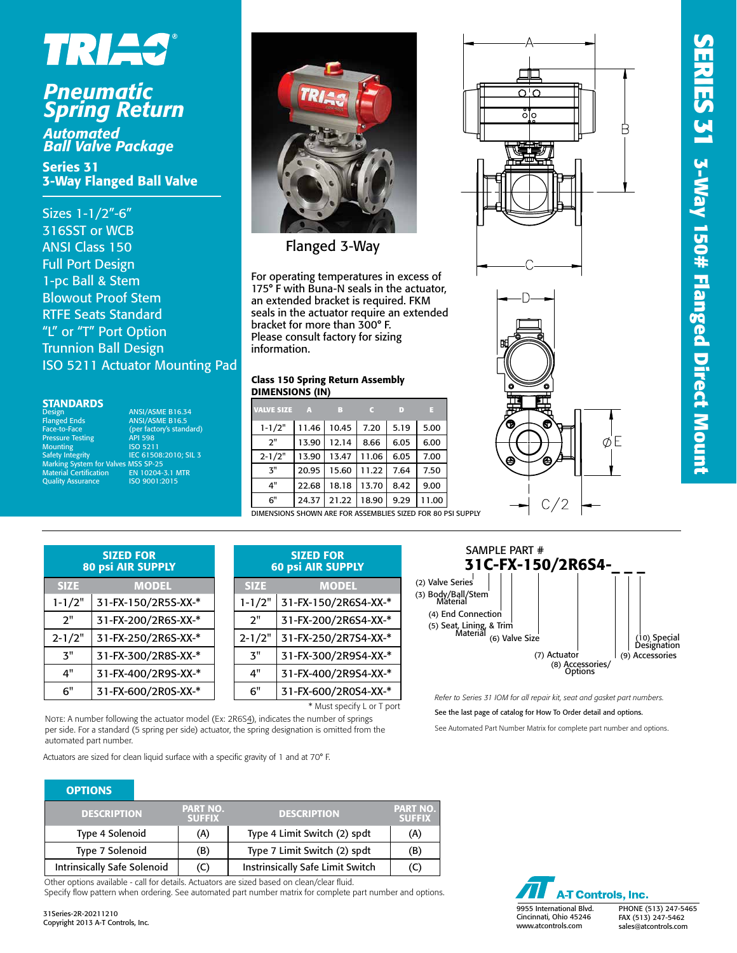

## *Pneumatic Spring Return*

*Automated Ball Valve Package*

Series 31 3-Way Flanged Ball Valve

Sizes 1-1/2"-6" 316SST or WCB ANSI Class 150 Full Port Design 1-pc Ball & Stem Blowout Proof Stem RTFE Seats Standard "L" or "T" Port Option Trunnion Ball Design ISO 5211 Actuator Mounting Pad

#### **STANDARDS**

| Design                                     | <b>ANSI/ASME B16.34</b>  |
|--------------------------------------------|--------------------------|
| <b>Flanged Ends</b>                        | <b>ANSI/ASME B16.5</b>   |
| Face-to-Face                               | (per factory's standard) |
| <b>Pressure Testing</b>                    | <b>API 598</b>           |
| <b>Mounting</b>                            | <b>ISO 5211</b>          |
| <b>Safety Integrity</b>                    | IEC 61508:2010: SIL 3    |
| <b>Marking System for Valves MSS SP-25</b> |                          |
| <b>Material Certification</b>              | EN 10204-3.1 MTR         |
| <b>Quality Assurance</b>                   | ISO 9001:2015            |
|                                            |                          |



Flanged 3-Way

For operating temperatures in excess of 175° F with Buna-N seals in the actuator, an extended bracket is required. FKM seals in the actuator require an extended bracket for more than 300° F. Please consult factory for sizing information.

#### Class 150 Spring Return Assembly DIMENSIONS (IN)

| <b>VALVE SIZE</b>                                               | $\overline{A}$ | B           |       | D    | в     |
|-----------------------------------------------------------------|----------------|-------------|-------|------|-------|
| $1 - 1/2"$                                                      |                | 11.46 10.45 | 7.20  | 5.19 | 5.00  |
| 2"                                                              | 13.90          | 12.14       | 8.66  | 6.05 | 6.00  |
| $2 - 1/2"$                                                      | 13.90          | 13.47       | 11.06 | 6.05 | 7.00  |
| $\mathbf{3}^{\mathsf{H}}$                                       | 20.95          | 15.60       | 11.22 | 7.64 | 7.50  |
| 4"                                                              | 22.68          | 18.18       | 13.70 | 8.42 | 9.00  |
| 6"                                                              | 24.37          | 21.22       | 18.90 | 9.29 | 11.00 |
| CUOUIN ARE FOR ACCEMBLIFE CITER FOR 80 F<br><b>DIMENICIANIC</b> |                |             |       |      |       |







| <b>SIZED FOR</b><br><b>80 psi AIR SUPPLY</b> |                     |  |  |
|----------------------------------------------|---------------------|--|--|
| <b>SIZE</b>                                  | <b>MODEL</b>        |  |  |
| $1 - 1/2"$                                   | 31-FX-150/2R5S-XX-* |  |  |
| 2"                                           | 31-FX-200/2R6S-XX-* |  |  |
| $2 - 1/2"$                                   | 31-FX-250/2R6S-XX-* |  |  |
| ጞ"                                           | 31-FX-300/2R8S-XX-* |  |  |
| 4"                                           | 31-FX-400/2R9S-XX-* |  |  |
| 6"                                           | 31-FX-600/2R0S-XX-* |  |  |

| <b>SIZED FOR</b><br><b>60 psi AIR SUPPLY</b> |                      |  |  |  |
|----------------------------------------------|----------------------|--|--|--|
| <b>SIZE</b>                                  | <b>MODEL</b>         |  |  |  |
| $1 - 1/2"$                                   | 31-FX-150/2R6S4-XX-* |  |  |  |
| 2"                                           | 31-FX-200/2R6S4-XX-* |  |  |  |
| $2 - 1/2"$                                   | 31-FX-250/2R7S4-XX-* |  |  |  |
| ጞ"                                           | 31-FX-300/2R9S4-XX-* |  |  |  |
| 4"                                           | 31-FX-400/2R9S4-XX-* |  |  |  |
| 6"                                           | 31-FX-600/2R0S4-XX-* |  |  |  |
|                                              |                      |  |  |  |

\* Must specify L or T port

NOTE: A number following the actuator model (Ex: 2R6S4), indicates the number of springs per side. For a standard (5 spring per side) actuator, the spring designation is omitted from the automated part number.

Actuators are sized for clean liquid surface with a specific gravity of 1 and at 70° F.

| <b>OPTIONS</b>                     |                                  |                                         |                                  |
|------------------------------------|----------------------------------|-----------------------------------------|----------------------------------|
| <b>DESCRIPTION</b>                 | <b>PART NO.</b><br><b>SUFFIX</b> | <b>DESCRIPTION</b>                      | <b>PART NO.</b><br><b>SUFFIX</b> |
| Type 4 Solenoid                    | (A)                              | Type 4 Limit Switch (2) spdt            | (A)                              |
| Type 7 Solenoid                    | (B)                              | Type 7 Limit Switch (2) spdt            | (B)                              |
| <b>Intrinsically Safe Solenoid</b> | (C)                              | <b>Instrinsically Safe Limit Switch</b> | (C)                              |

Other options available - call for details. Actuators are sized based on clean/clear fluid. Specify flow pattern when ordering. See automated part number matrix for complete part number and options.



*Refer to Series 31 IOM for all repair kit, seat and gasket part numbers.*

See the last page of catalog for How To Order detail and options.

See Automated Part Number Matrix for complete part number and options.

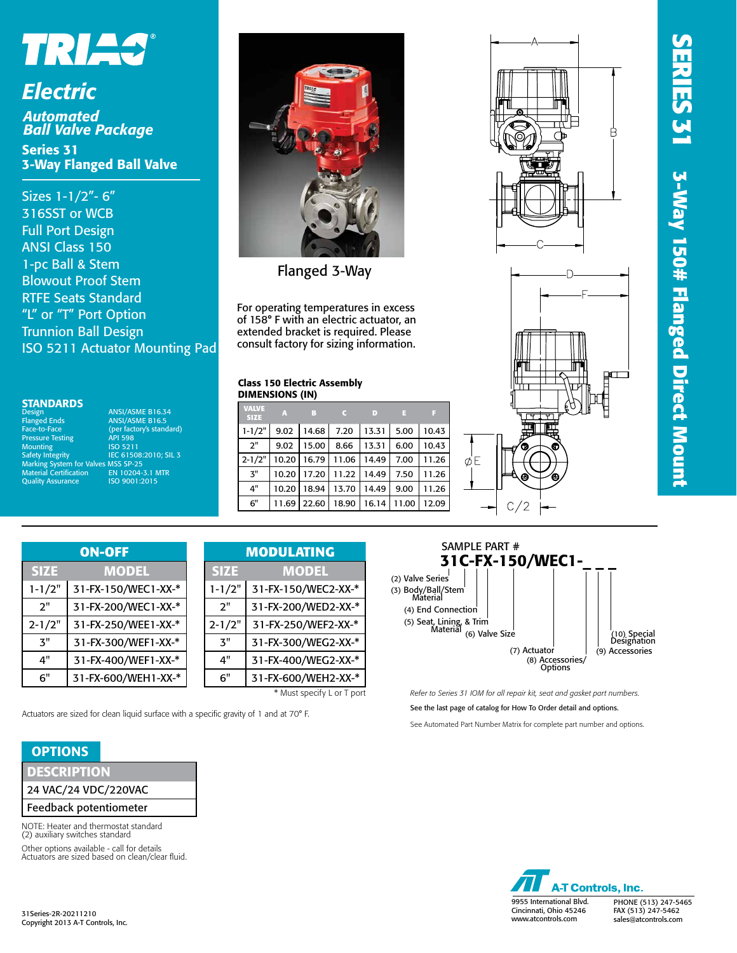

### *Electric Automated*

*Ball Valve Package* Series 31 3-Way Flanged Ball Valve

Sizes 1-1/2"- 6" 316SST or WCB Full Port Design ANSI Class 150 1-pc Ball & Stem Blowout Proof Stem RTFE Seats Standard "L" or "T" Port Option Trunnion Ball Design ISO 5211 Actuator Mounting Pad

#### **STANDARDS**

Flanged Ends ANSI/ASME B16.5 Face-to-Face (per factory's standard) **Pace-to-Face**<br>Pressure Testing Mounting<br>Safety Integrity 1999, 1999, 1999, 1999, 1999, 1999, 1999, 1999, 1999, 1999, 1999, 1999, 1999, 1999, 1999, 1999, 1999, 1999, 1<br>The Material Certification 1999, 1999, 1999, 1999, 1999, 1999, 1999, 1999, 1999, 1999, 1999, 1999, 1999, 1999, **Quality Assurance** 

STANDARDS<br>Design ANSI/ASME B16.34<br>Flanged Ends ANSI/ASME B16.5 Safety Integrity IEC 61508:2010; SIL 3 EN 10204-3.1 MTR<br>ISO 9001:2015



Flanged 3-Way

For operating temperatures in excess of 158° F with an electric actuator, an extended bracket is required. Please consult factory for sizing information.

#### Class 150 Electric Assembly DIMENSIONS (IN)

| A                                                | B     |       | $\Box$                                    | ы     |       |
|--------------------------------------------------|-------|-------|-------------------------------------------|-------|-------|
| 9.02                                             |       | 7.20  |                                           | 5.00  | 10.43 |
| 9.02                                             | 15.00 | 8.66  | 13.31                                     | 6.00  | 10.43 |
| 10.20                                            |       |       | 14.49                                     | 7.00  | 11.26 |
| 10.20                                            |       | 11.22 | 14.49                                     | 7.50  | 11.26 |
| 10.20                                            | 18.94 | 13.70 | 14.49                                     | 9.00  | 11.26 |
| 11.69                                            |       | 18.90 | 16.14                                     | 11.00 | 12.09 |
| VALVE<br><b>SIZE</b><br>$1 - 1/2"$<br>$2 - 1/2"$ |       |       | 14.68<br>16.79 11.06<br>17.20 l<br> 22.60 | 13.31 |       |





| <b>ON-OFF</b> |                     |  |  |  |
|---------------|---------------------|--|--|--|
| <b>SIZE</b>   | <b>MODEL</b>        |  |  |  |
| $1 - 1/2"$    | 31-FX-150/WEC1-XX-* |  |  |  |
| 2"            | 31-FX-200/WEC1-XX-* |  |  |  |
| $2 - 1/2"$    | 31-FX-250/WEE1-XX-* |  |  |  |
| ጞ"            | 31-FX-300/WEF1-XX-* |  |  |  |
| 4"            | 31-FX-400/WEF1-XX-* |  |  |  |
| ิ 6"          | 31-FX-600/WEH1-XX-* |  |  |  |

| <b>ON-OFF</b>      |  |             | <b>MODULATING</b>          |
|--------------------|--|-------------|----------------------------|
| <b>MODEL</b>       |  | <b>SIZE</b> | MODEL                      |
| 1-FX-150/WEC1-XX-* |  | $1 - 1/2"$  | 31-FX-150/WEC2-XX-*        |
| 1-FX-200/WEC1-XX-* |  | 2"          | 31-FX-200/WED2-XX-*        |
| 1-FX-250/WEE1-XX-* |  | $2 - 1/2"$  | 31-FX-250/WEF2-XX-*        |
| 1-FX-300/WEF1-XX-* |  | 3"          | 31-FX-300/WEG2-XX-*        |
| 1-FX-400/WEF1-XX-* |  | 4"          | 31-FX-400/WEG2-XX-*        |
| 1-FX-600/WEH1-XX-* |  | 6"          | 31-FX-600/WEH2-XX-*        |
|                    |  |             | * Must specify L or T port |

Actuators are sized for clean liquid surface with a specific gravity of 1 and at 70° F.

#### **OPTIONS**

**DESCRIPTION** 

24 VAC/24 VDC/220VAC

Feedback potentiometer

NOTE: Heater and thermostat standard (2) auxiliary switches standard

Other options available - call for details Actuators are sized based on clean/clear fluid.

31Series-2R-20211210 Copyright 2013 A-T Controls, Inc.



*Refer to Series 31 IOM for all repair kit, seat and gasket part numbers.*

See the last page of catalog for How To Order detail and options.

See Automated Part Number Matrix for complete part number and options.



PHONE (513) 247-5465 FAX (513) 247-5462 sales@atcontrols.com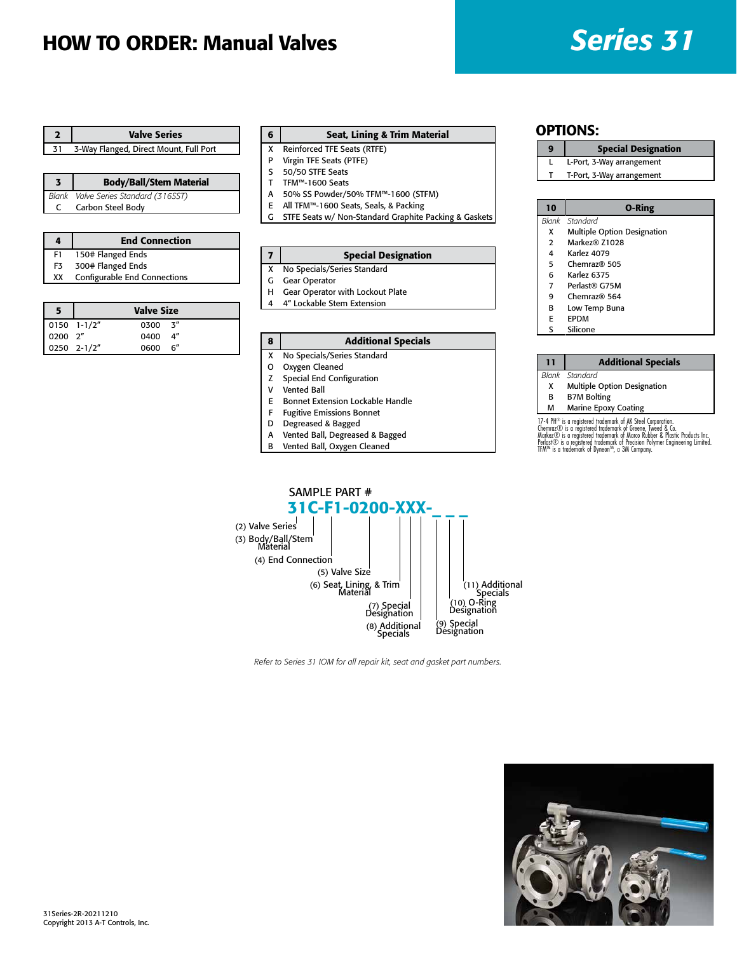# HOW TO ORDER: Manual Valves *Series 31*

|    | <b>Valve Series</b>                    |  |
|----|----------------------------------------|--|
| 31 | 3-Way Flanged, Direct Mount, Full Port |  |

|   | <b>Body/Ball/Stem Material</b>       |
|---|--------------------------------------|
|   | Blank Valve Series Standard (316SST) |
| C | Carbon Steel Body                    |

| 4  | <b>End Connection</b>        |  |
|----|------------------------------|--|
| F1 | 150# Flanged Ends            |  |
| F3 | 300# Flanged Ends            |  |
| XX | Configurable End Connections |  |
|    |                              |  |

|                                                                                 |             | <b>Valve Size</b> |  |
|---------------------------------------------------------------------------------|-------------|-------------------|--|
|                                                                                 |             | $0300 - 3''$      |  |
| $\begin{array}{ c c c } \hline 0150 & 1-1/2'' \\ \hline 0200 & 2'' \end{array}$ |             | 0400 4"           |  |
|                                                                                 | 0250 2-1/2" | 0600 6"           |  |

#### 6 Seat, Lining & Trim Material

- X Reinforced TFE Seats (RTFE)
- P Virgin TFE Seats (PTFE)
- S 50/50 STFE Seats T TFM™-1600 Seats
- A 50% SS Powder/50% TFM™-1600 (STFM)
- 
- E All TFM™-1600 Seats, Seals, & Packing STFE Seats w/ Non-Standard Graphite Packing & Gaskets

| 7 I | <b>Special Designation</b>    |
|-----|-------------------------------|
|     | X No Specials/Series Standard |

- G Gear Operator
- H Gear Operator with Lockout Plate
- 4 4" Lockable Stem Extension

#### 8 | Additional Specials

- X No Specials/Series Standard
- O Oxygen Cleaned
- Z Special End Configuration
- V Vented Ball
- E Bonnet Extension Lockable Handle
- F Fugitive Emissions Bonnet
- D Degreased & Bagged
- A Vented Ball, Degreased & Bagged
- B Vented Ball, Oxygen Cleaned
	-

#### OPTIONS:

- 9 | Special Designation
- L L-Port, 3-Way arrangement
- T T-Port, 3-Way arrangement

| 10 | <b>O-Ring</b>               |
|----|-----------------------------|
|    | Blank Standard              |
| x  | Multiple Option Designation |
| 2  | Markez® Z1028               |
| 4  | Karlez 4079                 |
| 5  | Chemraz@505                 |
| 6  | Karlez 6375                 |
| 7  | Perlast® G75M               |
| 9  | Chemraz@564                 |
| В  | Low Temp Buna               |

- E EPDM
- S Silicone

#### 11 | Additional Specials

*Blank Standard*

- X Multiple Option Designation<br>B B7M Bolting
- **B7M** Bolting

#### M Marine Epoxy Coating

17-4 PH® is a registered trademark of AK Steel Corporation.<br>Chemraz© is a registered trademark of Greene, Tweed & Co.<br>Markez© is a registered trademark of Marco Rubber & Plastic Products Inc.<br>Perlast© is a registered trade



*Refer to Series 31 IOM for all repair kit, seat and gasket part numbers.*